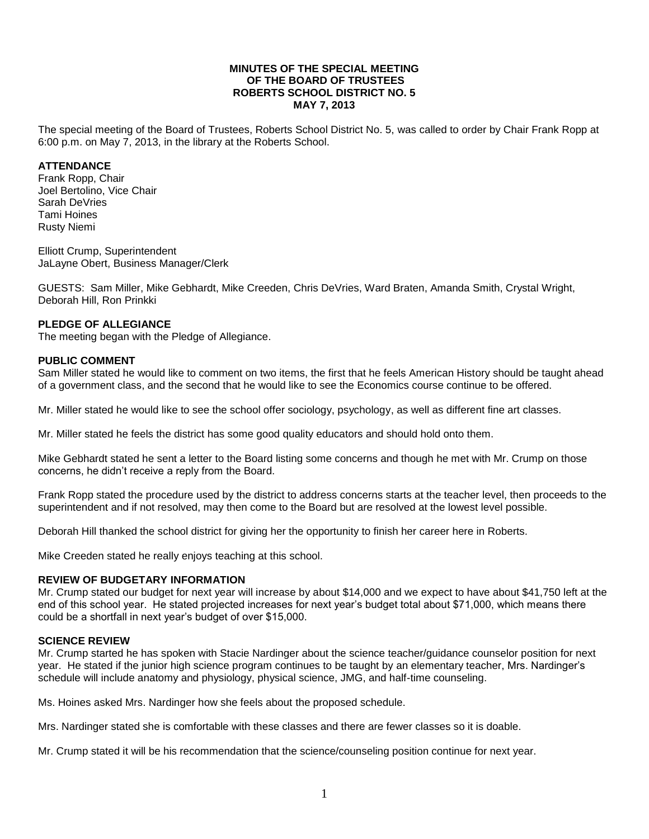#### **MINUTES OF THE SPECIAL MEETING OF THE BOARD OF TRUSTEES ROBERTS SCHOOL DISTRICT NO. 5 MAY 7, 2013**

The special meeting of the Board of Trustees, Roberts School District No. 5, was called to order by Chair Frank Ropp at 6:00 p.m. on May 7, 2013, in the library at the Roberts School.

### **ATTENDANCE**

Frank Ropp, Chair Joel Bertolino, Vice Chair Sarah DeVries Tami Hoines Rusty Niemi

Elliott Crump, Superintendent JaLayne Obert, Business Manager/Clerk

GUESTS: Sam Miller, Mike Gebhardt, Mike Creeden, Chris DeVries, Ward Braten, Amanda Smith, Crystal Wright, Deborah Hill, Ron Prinkki

## **PLEDGE OF ALLEGIANCE**

The meeting began with the Pledge of Allegiance.

### **PUBLIC COMMENT**

Sam Miller stated he would like to comment on two items, the first that he feels American History should be taught ahead of a government class, and the second that he would like to see the Economics course continue to be offered.

Mr. Miller stated he would like to see the school offer sociology, psychology, as well as different fine art classes.

Mr. Miller stated he feels the district has some good quality educators and should hold onto them.

Mike Gebhardt stated he sent a letter to the Board listing some concerns and though he met with Mr. Crump on those concerns, he didn't receive a reply from the Board.

Frank Ropp stated the procedure used by the district to address concerns starts at the teacher level, then proceeds to the superintendent and if not resolved, may then come to the Board but are resolved at the lowest level possible.

Deborah Hill thanked the school district for giving her the opportunity to finish her career here in Roberts.

Mike Creeden stated he really enjoys teaching at this school.

### **REVIEW OF BUDGETARY INFORMATION**

Mr. Crump stated our budget for next year will increase by about \$14,000 and we expect to have about \$41,750 left at the end of this school year. He stated projected increases for next year's budget total about \$71,000, which means there could be a shortfall in next year's budget of over \$15,000.

### **SCIENCE REVIEW**

Mr. Crump started he has spoken with Stacie Nardinger about the science teacher/guidance counselor position for next year. He stated if the junior high science program continues to be taught by an elementary teacher, Mrs. Nardinger's schedule will include anatomy and physiology, physical science, JMG, and half-time counseling.

Ms. Hoines asked Mrs. Nardinger how she feels about the proposed schedule.

Mrs. Nardinger stated she is comfortable with these classes and there are fewer classes so it is doable.

Mr. Crump stated it will be his recommendation that the science/counseling position continue for next year.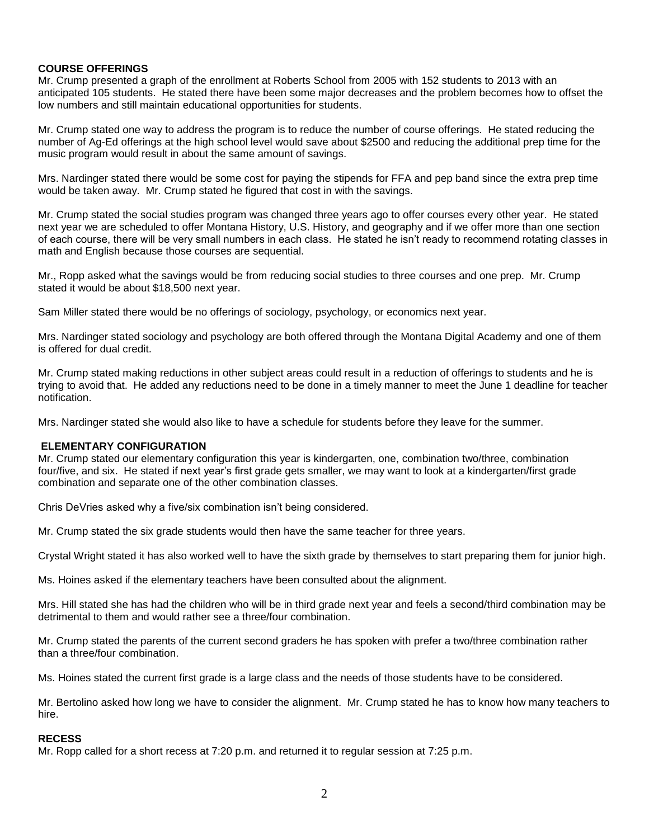## **COURSE OFFERINGS**

Mr. Crump presented a graph of the enrollment at Roberts School from 2005 with 152 students to 2013 with an anticipated 105 students. He stated there have been some major decreases and the problem becomes how to offset the low numbers and still maintain educational opportunities for students.

Mr. Crump stated one way to address the program is to reduce the number of course offerings. He stated reducing the number of Ag-Ed offerings at the high school level would save about \$2500 and reducing the additional prep time for the music program would result in about the same amount of savings.

Mrs. Nardinger stated there would be some cost for paying the stipends for FFA and pep band since the extra prep time would be taken away. Mr. Crump stated he figured that cost in with the savings.

Mr. Crump stated the social studies program was changed three years ago to offer courses every other year. He stated next year we are scheduled to offer Montana History, U.S. History, and geography and if we offer more than one section of each course, there will be very small numbers in each class. He stated he isn't ready to recommend rotating classes in math and English because those courses are sequential.

Mr., Ropp asked what the savings would be from reducing social studies to three courses and one prep. Mr. Crump stated it would be about \$18,500 next year.

Sam Miller stated there would be no offerings of sociology, psychology, or economics next year.

Mrs. Nardinger stated sociology and psychology are both offered through the Montana Digital Academy and one of them is offered for dual credit.

Mr. Crump stated making reductions in other subject areas could result in a reduction of offerings to students and he is trying to avoid that. He added any reductions need to be done in a timely manner to meet the June 1 deadline for teacher notification.

Mrs. Nardinger stated she would also like to have a schedule for students before they leave for the summer.

### **ELEMENTARY CONFIGURATION**

Mr. Crump stated our elementary configuration this year is kindergarten, one, combination two/three, combination four/five, and six. He stated if next year's first grade gets smaller, we may want to look at a kindergarten/first grade combination and separate one of the other combination classes.

Chris DeVries asked why a five/six combination isn't being considered.

Mr. Crump stated the six grade students would then have the same teacher for three years.

Crystal Wright stated it has also worked well to have the sixth grade by themselves to start preparing them for junior high.

Ms. Hoines asked if the elementary teachers have been consulted about the alignment.

Mrs. Hill stated she has had the children who will be in third grade next year and feels a second/third combination may be detrimental to them and would rather see a three/four combination.

Mr. Crump stated the parents of the current second graders he has spoken with prefer a two/three combination rather than a three/four combination.

Ms. Hoines stated the current first grade is a large class and the needs of those students have to be considered.

Mr. Bertolino asked how long we have to consider the alignment. Mr. Crump stated he has to know how many teachers to hire.

#### **RECESS**

Mr. Ropp called for a short recess at 7:20 p.m. and returned it to regular session at 7:25 p.m.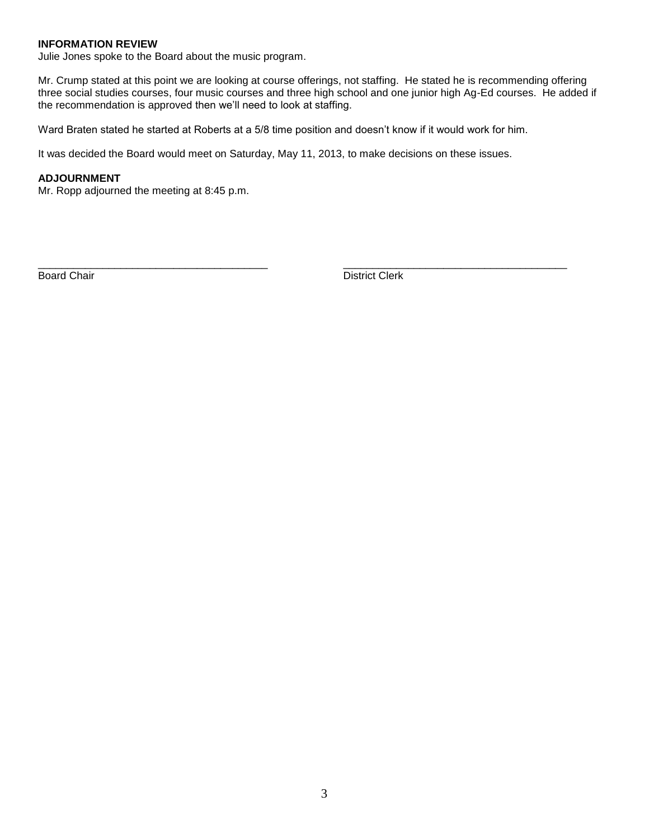## **INFORMATION REVIEW**

Julie Jones spoke to the Board about the music program.

Mr. Crump stated at this point we are looking at course offerings, not staffing. He stated he is recommending offering three social studies courses, four music courses and three high school and one junior high Ag-Ed courses. He added if the recommendation is approved then we'll need to look at staffing.

Ward Braten stated he started at Roberts at a 5/8 time position and doesn't know if it would work for him.

\_\_\_\_\_\_\_\_\_\_\_\_\_\_\_\_\_\_\_\_\_\_\_\_\_\_\_\_\_\_\_\_\_\_\_\_\_\_\_ \_\_\_\_\_\_\_\_\_\_\_\_\_\_\_\_\_\_\_\_\_\_\_\_\_\_\_\_\_\_\_\_\_\_\_\_\_\_

It was decided the Board would meet on Saturday, May 11, 2013, to make decisions on these issues.

#### **ADJOURNMENT**

Mr. Ropp adjourned the meeting at 8:45 p.m.

Board Chair **District Clerk**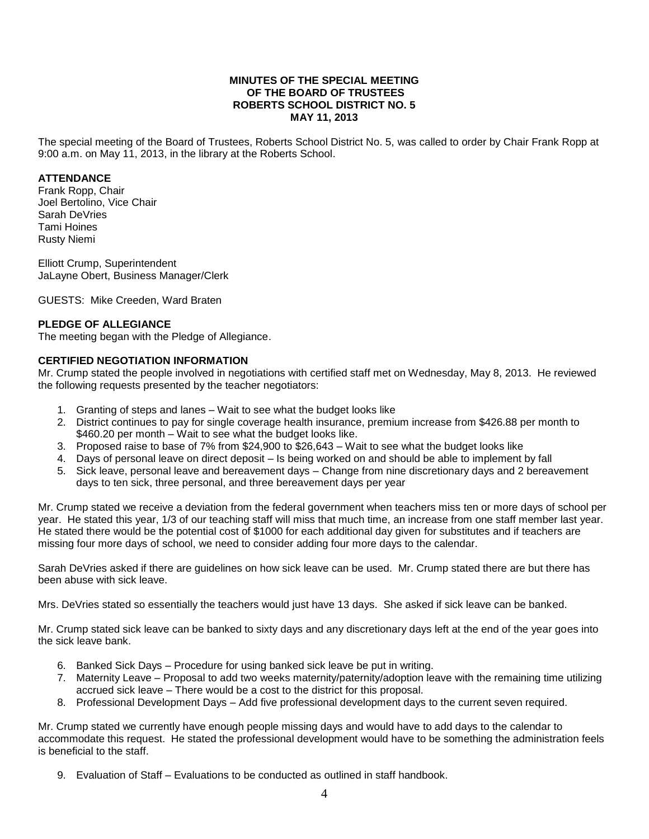### **MINUTES OF THE SPECIAL MEETING OF THE BOARD OF TRUSTEES ROBERTS SCHOOL DISTRICT NO. 5 MAY 11, 2013**

The special meeting of the Board of Trustees, Roberts School District No. 5, was called to order by Chair Frank Ropp at 9:00 a.m. on May 11, 2013, in the library at the Roberts School.

## **ATTENDANCE**

Frank Ropp, Chair Joel Bertolino, Vice Chair Sarah DeVries Tami Hoines Rusty Niemi

Elliott Crump, Superintendent JaLayne Obert, Business Manager/Clerk

GUESTS: Mike Creeden, Ward Braten

## **PLEDGE OF ALLEGIANCE**

The meeting began with the Pledge of Allegiance.

## **CERTIFIED NEGOTIATION INFORMATION**

Mr. Crump stated the people involved in negotiations with certified staff met on Wednesday, May 8, 2013. He reviewed the following requests presented by the teacher negotiators:

- 1. Granting of steps and lanes Wait to see what the budget looks like
- 2. District continues to pay for single coverage health insurance, premium increase from \$426.88 per month to \$460.20 per month – Wait to see what the budget looks like.
- 3. Proposed raise to base of 7% from \$24,900 to \$26,643 Wait to see what the budget looks like
- 4. Days of personal leave on direct deposit Is being worked on and should be able to implement by fall
- 5. Sick leave, personal leave and bereavement days Change from nine discretionary days and 2 bereavement days to ten sick, three personal, and three bereavement days per year

Mr. Crump stated we receive a deviation from the federal government when teachers miss ten or more days of school per year. He stated this year, 1/3 of our teaching staff will miss that much time, an increase from one staff member last year. He stated there would be the potential cost of \$1000 for each additional day given for substitutes and if teachers are missing four more days of school, we need to consider adding four more days to the calendar.

Sarah DeVries asked if there are guidelines on how sick leave can be used. Mr. Crump stated there are but there has been abuse with sick leave.

Mrs. DeVries stated so essentially the teachers would just have 13 days. She asked if sick leave can be banked.

Mr. Crump stated sick leave can be banked to sixty days and any discretionary days left at the end of the year goes into the sick leave bank.

- 6. Banked Sick Days Procedure for using banked sick leave be put in writing.
- 7. Maternity Leave Proposal to add two weeks maternity/paternity/adoption leave with the remaining time utilizing accrued sick leave – There would be a cost to the district for this proposal.
- 8. Professional Development Days Add five professional development days to the current seven required.

Mr. Crump stated we currently have enough people missing days and would have to add days to the calendar to accommodate this request. He stated the professional development would have to be something the administration feels is beneficial to the staff.

9. Evaluation of Staff – Evaluations to be conducted as outlined in staff handbook.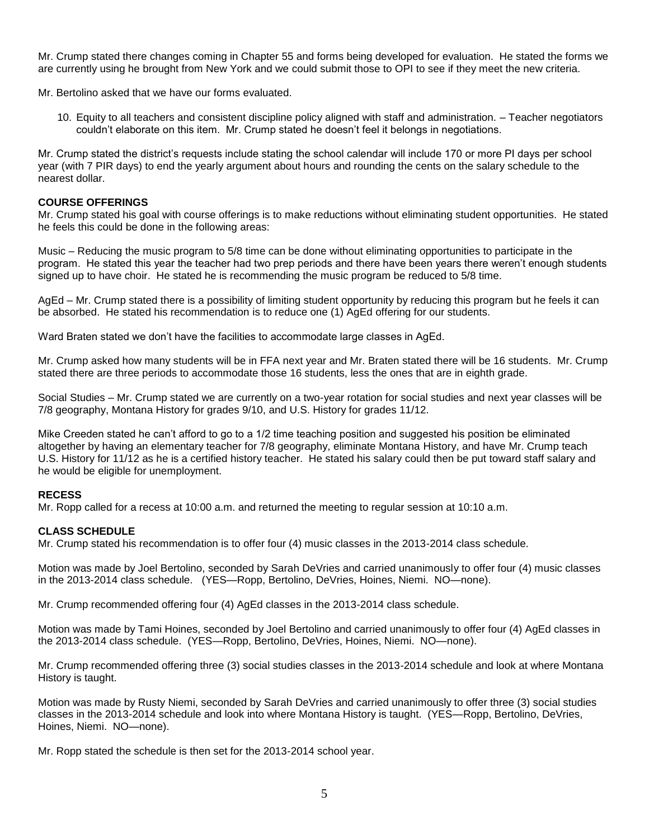Mr. Crump stated there changes coming in Chapter 55 and forms being developed for evaluation. He stated the forms we are currently using he brought from New York and we could submit those to OPI to see if they meet the new criteria.

Mr. Bertolino asked that we have our forms evaluated.

10. Equity to all teachers and consistent discipline policy aligned with staff and administration. – Teacher negotiators couldn't elaborate on this item. Mr. Crump stated he doesn't feel it belongs in negotiations.

Mr. Crump stated the district's requests include stating the school calendar will include 170 or more PI days per school year (with 7 PIR days) to end the yearly argument about hours and rounding the cents on the salary schedule to the nearest dollar.

## **COURSE OFFERINGS**

Mr. Crump stated his goal with course offerings is to make reductions without eliminating student opportunities. He stated he feels this could be done in the following areas:

Music – Reducing the music program to 5/8 time can be done without eliminating opportunities to participate in the program. He stated this year the teacher had two prep periods and there have been years there weren't enough students signed up to have choir. He stated he is recommending the music program be reduced to 5/8 time.

AgEd – Mr. Crump stated there is a possibility of limiting student opportunity by reducing this program but he feels it can be absorbed. He stated his recommendation is to reduce one (1) AgEd offering for our students.

Ward Braten stated we don't have the facilities to accommodate large classes in AgEd.

Mr. Crump asked how many students will be in FFA next year and Mr. Braten stated there will be 16 students. Mr. Crump stated there are three periods to accommodate those 16 students, less the ones that are in eighth grade.

Social Studies – Mr. Crump stated we are currently on a two-year rotation for social studies and next year classes will be 7/8 geography, Montana History for grades 9/10, and U.S. History for grades 11/12.

Mike Creeden stated he can't afford to go to a 1/2 time teaching position and suggested his position be eliminated altogether by having an elementary teacher for 7/8 geography, eliminate Montana History, and have Mr. Crump teach U.S. History for 11/12 as he is a certified history teacher. He stated his salary could then be put toward staff salary and he would be eligible for unemployment.

### **RECESS**

Mr. Ropp called for a recess at 10:00 a.m. and returned the meeting to regular session at 10:10 a.m.

### **CLASS SCHEDULE**

Mr. Crump stated his recommendation is to offer four (4) music classes in the 2013-2014 class schedule.

Motion was made by Joel Bertolino, seconded by Sarah DeVries and carried unanimously to offer four (4) music classes in the 2013-2014 class schedule. (YES—Ropp, Bertolino, DeVries, Hoines, Niemi. NO—none).

Mr. Crump recommended offering four (4) AgEd classes in the 2013-2014 class schedule.

Motion was made by Tami Hoines, seconded by Joel Bertolino and carried unanimously to offer four (4) AgEd classes in the 2013-2014 class schedule. (YES—Ropp, Bertolino, DeVries, Hoines, Niemi. NO—none).

Mr. Crump recommended offering three (3) social studies classes in the 2013-2014 schedule and look at where Montana History is taught.

Motion was made by Rusty Niemi, seconded by Sarah DeVries and carried unanimously to offer three (3) social studies classes in the 2013-2014 schedule and look into where Montana History is taught. (YES—Ropp, Bertolino, DeVries, Hoines, Niemi. NO—none).

Mr. Ropp stated the schedule is then set for the 2013-2014 school year.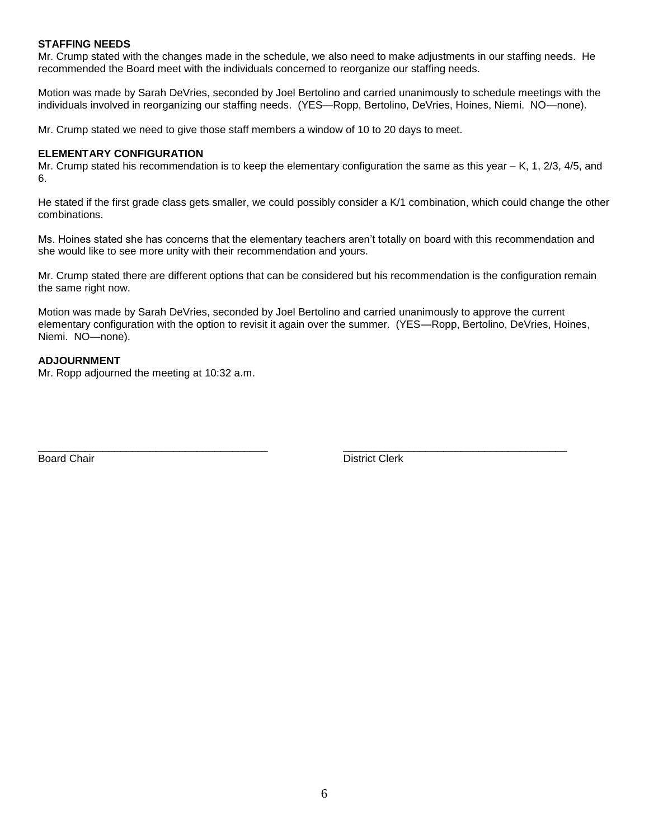## **STAFFING NEEDS**

Mr. Crump stated with the changes made in the schedule, we also need to make adjustments in our staffing needs. He recommended the Board meet with the individuals concerned to reorganize our staffing needs.

Motion was made by Sarah DeVries, seconded by Joel Bertolino and carried unanimously to schedule meetings with the individuals involved in reorganizing our staffing needs. (YES—Ropp, Bertolino, DeVries, Hoines, Niemi. NO—none).

Mr. Crump stated we need to give those staff members a window of 10 to 20 days to meet.

## **ELEMENTARY CONFIGURATION**

Mr. Crump stated his recommendation is to keep the elementary configuration the same as this year – K, 1, 2/3, 4/5, and 6.

He stated if the first grade class gets smaller, we could possibly consider a K/1 combination, which could change the other combinations.

Ms. Hoines stated she has concerns that the elementary teachers aren't totally on board with this recommendation and she would like to see more unity with their recommendation and yours.

Mr. Crump stated there are different options that can be considered but his recommendation is the configuration remain the same right now.

Motion was made by Sarah DeVries, seconded by Joel Bertolino and carried unanimously to approve the current elementary configuration with the option to revisit it again over the summer. (YES—Ropp, Bertolino, DeVries, Hoines, Niemi. NO—none).

# **ADJOURNMENT**

Mr. Ropp adjourned the meeting at 10:32 a.m.

Board Chair **District Clerk Board Chair District Clerk** 

\_\_\_\_\_\_\_\_\_\_\_\_\_\_\_\_\_\_\_\_\_\_\_\_\_\_\_\_\_\_\_\_\_\_\_\_\_\_\_ \_\_\_\_\_\_\_\_\_\_\_\_\_\_\_\_\_\_\_\_\_\_\_\_\_\_\_\_\_\_\_\_\_\_\_\_\_\_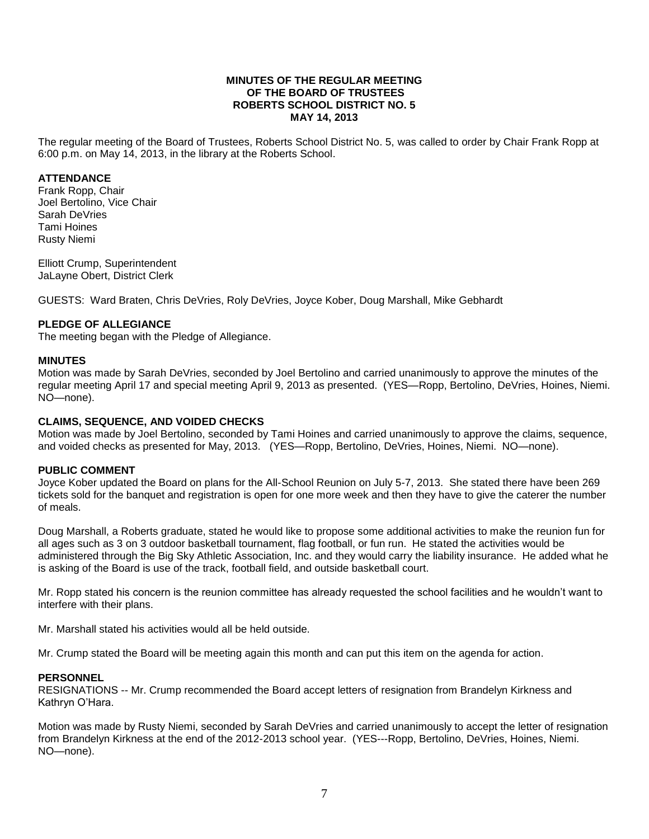#### **MINUTES OF THE REGULAR MEETING OF THE BOARD OF TRUSTEES ROBERTS SCHOOL DISTRICT NO. 5 MAY 14, 2013**

The regular meeting of the Board of Trustees, Roberts School District No. 5, was called to order by Chair Frank Ropp at 6:00 p.m. on May 14, 2013, in the library at the Roberts School.

## **ATTENDANCE**

Frank Ropp, Chair Joel Bertolino, Vice Chair Sarah DeVries Tami Hoines Rusty Niemi

Elliott Crump, Superintendent JaLayne Obert, District Clerk

GUESTS: Ward Braten, Chris DeVries, Roly DeVries, Joyce Kober, Doug Marshall, Mike Gebhardt

## **PLEDGE OF ALLEGIANCE**

The meeting began with the Pledge of Allegiance.

### **MINUTES**

Motion was made by Sarah DeVries, seconded by Joel Bertolino and carried unanimously to approve the minutes of the regular meeting April 17 and special meeting April 9, 2013 as presented. (YES—Ropp, Bertolino, DeVries, Hoines, Niemi. NO—none).

## **CLAIMS, SEQUENCE, AND VOIDED CHECKS**

Motion was made by Joel Bertolino, seconded by Tami Hoines and carried unanimously to approve the claims, sequence, and voided checks as presented for May, 2013. (YES—Ropp, Bertolino, DeVries, Hoines, Niemi. NO—none).

### **PUBLIC COMMENT**

Joyce Kober updated the Board on plans for the All-School Reunion on July 5-7, 2013. She stated there have been 269 tickets sold for the banquet and registration is open for one more week and then they have to give the caterer the number of meals.

Doug Marshall, a Roberts graduate, stated he would like to propose some additional activities to make the reunion fun for all ages such as 3 on 3 outdoor basketball tournament, flag football, or fun run. He stated the activities would be administered through the Big Sky Athletic Association, Inc. and they would carry the liability insurance. He added what he is asking of the Board is use of the track, football field, and outside basketball court.

Mr. Ropp stated his concern is the reunion committee has already requested the school facilities and he wouldn't want to interfere with their plans.

Mr. Marshall stated his activities would all be held outside.

Mr. Crump stated the Board will be meeting again this month and can put this item on the agenda for action.

### **PERSONNEL**

RESIGNATIONS -- Mr. Crump recommended the Board accept letters of resignation from Brandelyn Kirkness and Kathryn O'Hara.

Motion was made by Rusty Niemi, seconded by Sarah DeVries and carried unanimously to accept the letter of resignation from Brandelyn Kirkness at the end of the 2012-2013 school year. (YES---Ropp, Bertolino, DeVries, Hoines, Niemi. NO—none).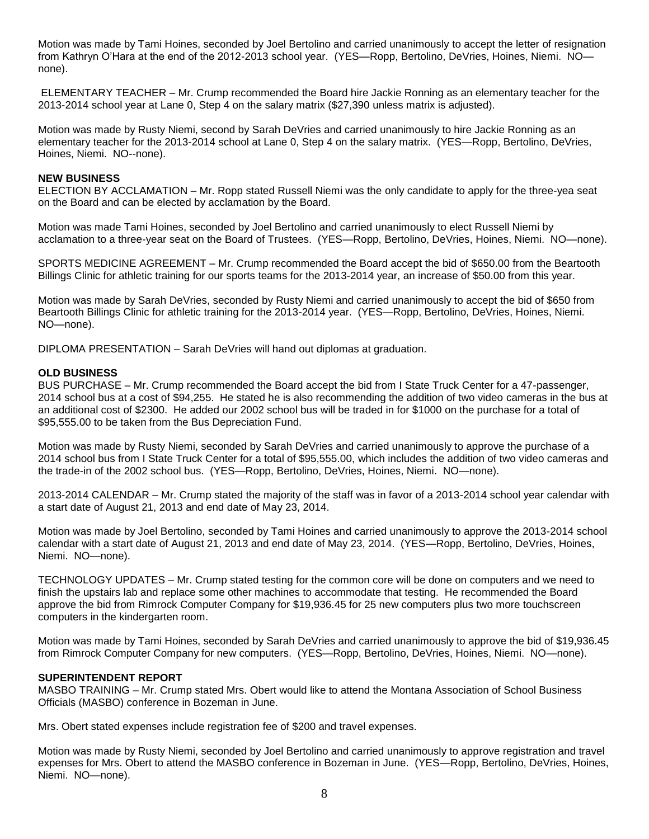Motion was made by Tami Hoines, seconded by Joel Bertolino and carried unanimously to accept the letter of resignation from Kathryn O'Hara at the end of the 2012-2013 school year. (YES—Ropp, Bertolino, DeVries, Hoines, Niemi. NO none).

ELEMENTARY TEACHER – Mr. Crump recommended the Board hire Jackie Ronning as an elementary teacher for the 2013-2014 school year at Lane 0, Step 4 on the salary matrix (\$27,390 unless matrix is adjusted).

Motion was made by Rusty Niemi, second by Sarah DeVries and carried unanimously to hire Jackie Ronning as an elementary teacher for the 2013-2014 school at Lane 0, Step 4 on the salary matrix. (YES—Ropp, Bertolino, DeVries, Hoines, Niemi. NO--none).

#### **NEW BUSINESS**

ELECTION BY ACCLAMATION – Mr. Ropp stated Russell Niemi was the only candidate to apply for the three-yea seat on the Board and can be elected by acclamation by the Board.

Motion was made Tami Hoines, seconded by Joel Bertolino and carried unanimously to elect Russell Niemi by acclamation to a three-year seat on the Board of Trustees. (YES—Ropp, Bertolino, DeVries, Hoines, Niemi. NO—none).

SPORTS MEDICINE AGREEMENT – Mr. Crump recommended the Board accept the bid of \$650.00 from the Beartooth Billings Clinic for athletic training for our sports teams for the 2013-2014 year, an increase of \$50.00 from this year.

Motion was made by Sarah DeVries, seconded by Rusty Niemi and carried unanimously to accept the bid of \$650 from Beartooth Billings Clinic for athletic training for the 2013-2014 year. (YES—Ropp, Bertolino, DeVries, Hoines, Niemi. NO—none).

DIPLOMA PRESENTATION – Sarah DeVries will hand out diplomas at graduation.

#### **OLD BUSINESS**

BUS PURCHASE – Mr. Crump recommended the Board accept the bid from I State Truck Center for a 47-passenger, 2014 school bus at a cost of \$94,255. He stated he is also recommending the addition of two video cameras in the bus at an additional cost of \$2300. He added our 2002 school bus will be traded in for \$1000 on the purchase for a total of \$95,555.00 to be taken from the Bus Depreciation Fund.

Motion was made by Rusty Niemi, seconded by Sarah DeVries and carried unanimously to approve the purchase of a 2014 school bus from I State Truck Center for a total of \$95,555.00, which includes the addition of two video cameras and the trade-in of the 2002 school bus. (YES—Ropp, Bertolino, DeVries, Hoines, Niemi. NO—none).

2013-2014 CALENDAR – Mr. Crump stated the majority of the staff was in favor of a 2013-2014 school year calendar with a start date of August 21, 2013 and end date of May 23, 2014.

Motion was made by Joel Bertolino, seconded by Tami Hoines and carried unanimously to approve the 2013-2014 school calendar with a start date of August 21, 2013 and end date of May 23, 2014. (YES—Ropp, Bertolino, DeVries, Hoines, Niemi. NO—none).

TECHNOLOGY UPDATES – Mr. Crump stated testing for the common core will be done on computers and we need to finish the upstairs lab and replace some other machines to accommodate that testing. He recommended the Board approve the bid from Rimrock Computer Company for \$19,936.45 for 25 new computers plus two more touchscreen computers in the kindergarten room.

Motion was made by Tami Hoines, seconded by Sarah DeVries and carried unanimously to approve the bid of \$19,936.45 from Rimrock Computer Company for new computers. (YES—Ropp, Bertolino, DeVries, Hoines, Niemi. NO—none).

### **SUPERINTENDENT REPORT**

MASBO TRAINING – Mr. Crump stated Mrs. Obert would like to attend the Montana Association of School Business Officials (MASBO) conference in Bozeman in June.

Mrs. Obert stated expenses include registration fee of \$200 and travel expenses.

Motion was made by Rusty Niemi, seconded by Joel Bertolino and carried unanimously to approve registration and travel expenses for Mrs. Obert to attend the MASBO conference in Bozeman in June. (YES—Ropp, Bertolino, DeVries, Hoines, Niemi. NO—none).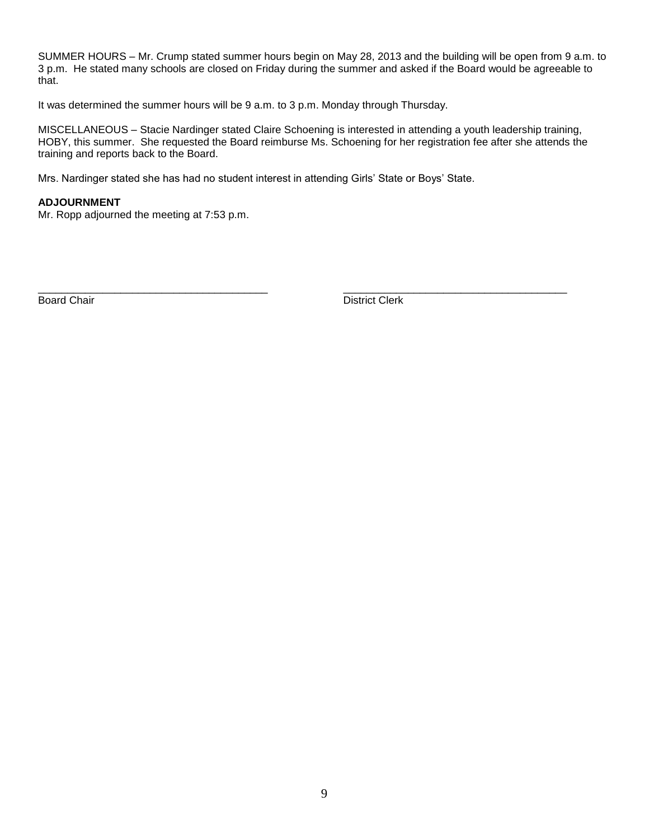SUMMER HOURS – Mr. Crump stated summer hours begin on May 28, 2013 and the building will be open from 9 a.m. to 3 p.m. He stated many schools are closed on Friday during the summer and asked if the Board would be agreeable to that.

It was determined the summer hours will be 9 a.m. to 3 p.m. Monday through Thursday.

MISCELLANEOUS – Stacie Nardinger stated Claire Schoening is interested in attending a youth leadership training, HOBY, this summer. She requested the Board reimburse Ms. Schoening for her registration fee after she attends the training and reports back to the Board.

Mrs. Nardinger stated she has had no student interest in attending Girls' State or Boys' State.

### **ADJOURNMENT**

Mr. Ropp adjourned the meeting at 7:53 p.m.

\_\_\_\_\_\_\_\_\_\_\_\_\_\_\_\_\_\_\_\_\_\_\_\_\_\_\_\_\_\_\_\_\_\_\_\_\_\_\_ \_\_\_\_\_\_\_\_\_\_\_\_\_\_\_\_\_\_\_\_\_\_\_\_\_\_\_\_\_\_\_\_\_\_\_\_\_\_ Board Chair **District Clerk Board Chair District Clerk**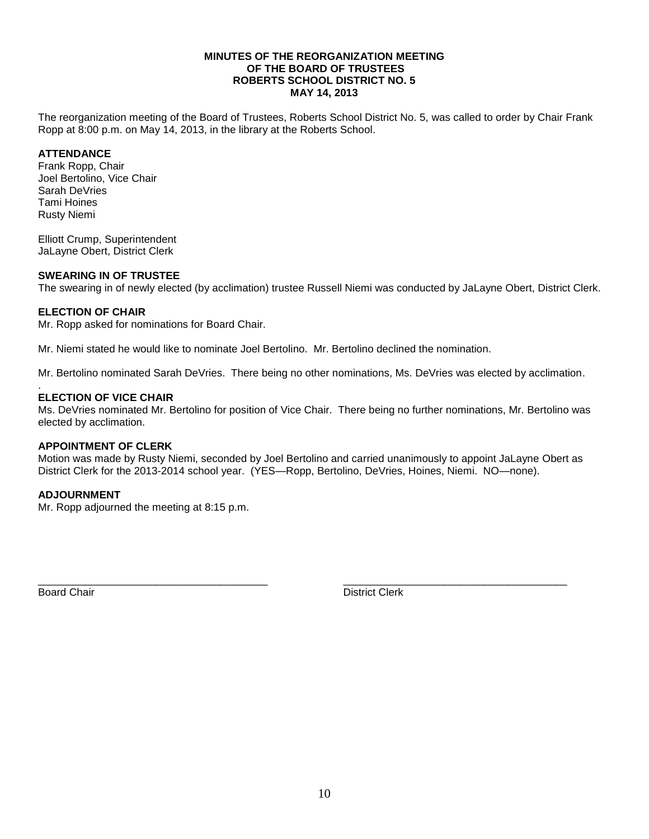#### **MINUTES OF THE REORGANIZATION MEETING OF THE BOARD OF TRUSTEES ROBERTS SCHOOL DISTRICT NO. 5 MAY 14, 2013**

The reorganization meeting of the Board of Trustees, Roberts School District No. 5, was called to order by Chair Frank Ropp at 8:00 p.m. on May 14, 2013, in the library at the Roberts School.

## **ATTENDANCE**

Frank Ropp, Chair Joel Bertolino, Vice Chair Sarah DeVries Tami Hoines Rusty Niemi

Elliott Crump, Superintendent JaLayne Obert, District Clerk

# **SWEARING IN OF TRUSTEE**

The swearing in of newly elected (by acclimation) trustee Russell Niemi was conducted by JaLayne Obert, District Clerk.

## **ELECTION OF CHAIR**

Mr. Ropp asked for nominations for Board Chair.

Mr. Niemi stated he would like to nominate Joel Bertolino. Mr. Bertolino declined the nomination.

Mr. Bertolino nominated Sarah DeVries. There being no other nominations, Ms. DeVries was elected by acclimation.

#### . **ELECTION OF VICE CHAIR**

Ms. DeVries nominated Mr. Bertolino for position of Vice Chair. There being no further nominations, Mr. Bertolino was elected by acclimation.

### **APPOINTMENT OF CLERK**

Motion was made by Rusty Niemi, seconded by Joel Bertolino and carried unanimously to appoint JaLayne Obert as District Clerk for the 2013-2014 school year. (YES—Ropp, Bertolino, DeVries, Hoines, Niemi. NO—none).

\_\_\_\_\_\_\_\_\_\_\_\_\_\_\_\_\_\_\_\_\_\_\_\_\_\_\_\_\_\_\_\_\_\_\_\_\_\_\_ \_\_\_\_\_\_\_\_\_\_\_\_\_\_\_\_\_\_\_\_\_\_\_\_\_\_\_\_\_\_\_\_\_\_\_\_\_\_

# **ADJOURNMENT**

Mr. Ropp adjourned the meeting at 8:15 p.m.

Board Chair **District Clerk**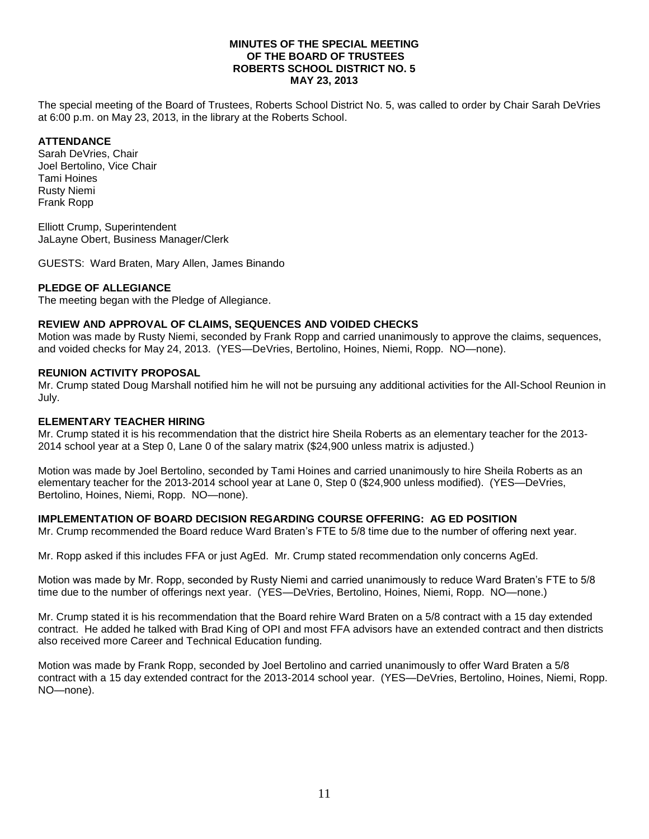## **MINUTES OF THE SPECIAL MEETING OF THE BOARD OF TRUSTEES ROBERTS SCHOOL DISTRICT NO. 5 MAY 23, 2013**

The special meeting of the Board of Trustees, Roberts School District No. 5, was called to order by Chair Sarah DeVries at 6:00 p.m. on May 23, 2013, in the library at the Roberts School.

# **ATTENDANCE**

Sarah DeVries, Chair Joel Bertolino, Vice Chair Tami Hoines Rusty Niemi Frank Ropp

Elliott Crump, Superintendent JaLayne Obert, Business Manager/Clerk

GUESTS: Ward Braten, Mary Allen, James Binando

# **PLEDGE OF ALLEGIANCE**

The meeting began with the Pledge of Allegiance.

# **REVIEW AND APPROVAL OF CLAIMS, SEQUENCES AND VOIDED CHECKS**

Motion was made by Rusty Niemi, seconded by Frank Ropp and carried unanimously to approve the claims, sequences, and voided checks for May 24, 2013. (YES—DeVries, Bertolino, Hoines, Niemi, Ropp. NO—none).

## **REUNION ACTIVITY PROPOSAL**

Mr. Crump stated Doug Marshall notified him he will not be pursuing any additional activities for the All-School Reunion in July.

## **ELEMENTARY TEACHER HIRING**

Mr. Crump stated it is his recommendation that the district hire Sheila Roberts as an elementary teacher for the 2013- 2014 school year at a Step 0, Lane 0 of the salary matrix (\$24,900 unless matrix is adjusted.)

Motion was made by Joel Bertolino, seconded by Tami Hoines and carried unanimously to hire Sheila Roberts as an elementary teacher for the 2013-2014 school year at Lane 0, Step 0 (\$24,900 unless modified). (YES—DeVries, Bertolino, Hoines, Niemi, Ropp. NO—none).

# **IMPLEMENTATION OF BOARD DECISION REGARDING COURSE OFFERING: AG ED POSITION**

Mr. Crump recommended the Board reduce Ward Braten's FTE to 5/8 time due to the number of offering next year.

Mr. Ropp asked if this includes FFA or just AgEd. Mr. Crump stated recommendation only concerns AgEd.

Motion was made by Mr. Ropp, seconded by Rusty Niemi and carried unanimously to reduce Ward Braten's FTE to 5/8 time due to the number of offerings next year. (YES—DeVries, Bertolino, Hoines, Niemi, Ropp. NO—none.)

Mr. Crump stated it is his recommendation that the Board rehire Ward Braten on a 5/8 contract with a 15 day extended contract. He added he talked with Brad King of OPI and most FFA advisors have an extended contract and then districts also received more Career and Technical Education funding.

Motion was made by Frank Ropp, seconded by Joel Bertolino and carried unanimously to offer Ward Braten a 5/8 contract with a 15 day extended contract for the 2013-2014 school year. (YES—DeVries, Bertolino, Hoines, Niemi, Ropp. NO—none).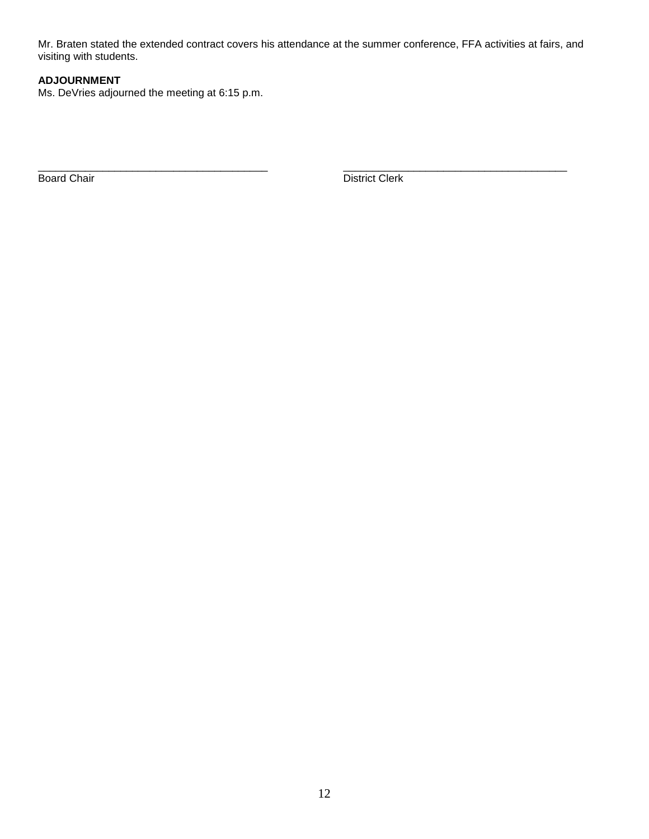Mr. Braten stated the extended contract covers his attendance at the summer conference, FFA activities at fairs, and visiting with students.

# **ADJOURNMENT**

Ms. DeVries adjourned the meeting at 6:15 p.m.

\_\_\_\_\_\_\_\_\_\_\_\_\_\_\_\_\_\_\_\_\_\_\_\_\_\_\_\_\_\_\_\_\_\_\_\_\_\_\_ \_\_\_\_\_\_\_\_\_\_\_\_\_\_\_\_\_\_\_\_\_\_\_\_\_\_\_\_\_\_\_\_\_\_\_\_\_\_ Board Chair District Clerk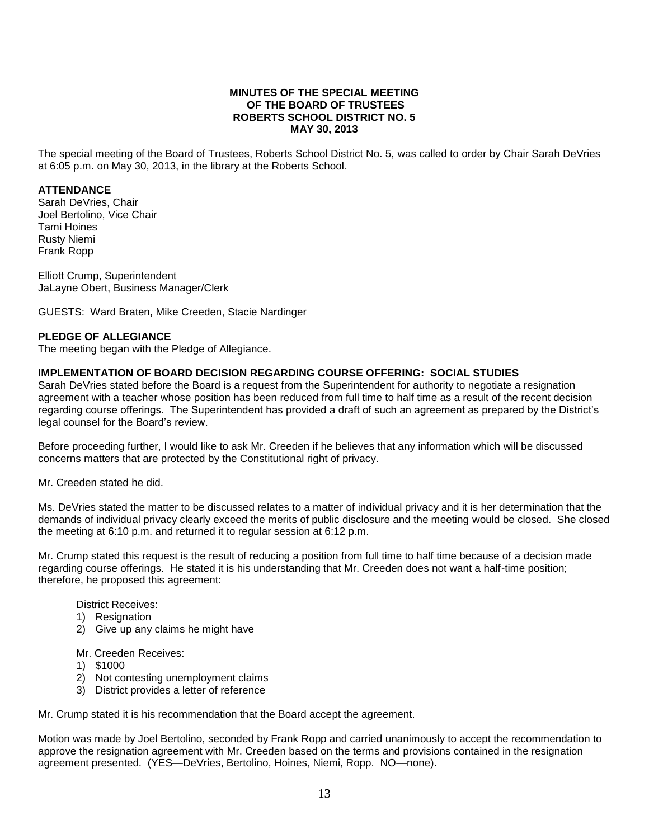## **MINUTES OF THE SPECIAL MEETING OF THE BOARD OF TRUSTEES ROBERTS SCHOOL DISTRICT NO. 5 MAY 30, 2013**

The special meeting of the Board of Trustees, Roberts School District No. 5, was called to order by Chair Sarah DeVries at 6:05 p.m. on May 30, 2013, in the library at the Roberts School.

#### **ATTENDANCE**

Sarah DeVries, Chair Joel Bertolino, Vice Chair Tami Hoines Rusty Niemi Frank Ropp

Elliott Crump, Superintendent JaLayne Obert, Business Manager/Clerk

GUESTS: Ward Braten, Mike Creeden, Stacie Nardinger

### **PLEDGE OF ALLEGIANCE**

The meeting began with the Pledge of Allegiance.

## **IMPLEMENTATION OF BOARD DECISION REGARDING COURSE OFFERING: SOCIAL STUDIES**

Sarah DeVries stated before the Board is a request from the Superintendent for authority to negotiate a resignation agreement with a teacher whose position has been reduced from full time to half time as a result of the recent decision regarding course offerings. The Superintendent has provided a draft of such an agreement as prepared by the District's legal counsel for the Board's review.

Before proceeding further, I would like to ask Mr. Creeden if he believes that any information which will be discussed concerns matters that are protected by the Constitutional right of privacy.

Mr. Creeden stated he did.

Ms. DeVries stated the matter to be discussed relates to a matter of individual privacy and it is her determination that the demands of individual privacy clearly exceed the merits of public disclosure and the meeting would be closed. She closed the meeting at 6:10 p.m. and returned it to regular session at 6:12 p.m.

Mr. Crump stated this request is the result of reducing a position from full time to half time because of a decision made regarding course offerings. He stated it is his understanding that Mr. Creeden does not want a half-time position; therefore, he proposed this agreement:

District Receives:

- 1) Resignation
- 2) Give up any claims he might have

Mr. Creeden Receives:

- 1) \$1000
- 2) Not contesting unemployment claims
- 3) District provides a letter of reference

Mr. Crump stated it is his recommendation that the Board accept the agreement.

Motion was made by Joel Bertolino, seconded by Frank Ropp and carried unanimously to accept the recommendation to approve the resignation agreement with Mr. Creeden based on the terms and provisions contained in the resignation agreement presented. (YES—DeVries, Bertolino, Hoines, Niemi, Ropp. NO—none).